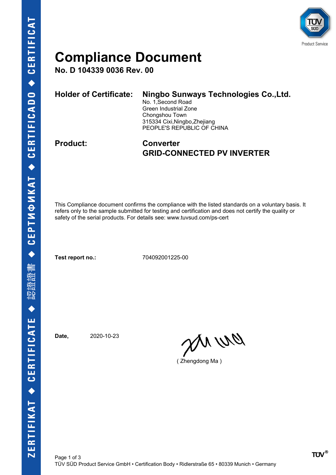

### **Compliance Document**

**No. D 104339 0036 Rev. 00**

| Holder of Certificate: | Ningbo Sunways Technologies Co., Ltd.<br>No. 1, Second Road<br>Green Industrial Zone<br>Chongshou Town<br>315334 Cixi, Ningbo, Zhejiang<br>PEOPLE'S REPUBLIC OF CHINA |
|------------------------|-----------------------------------------------------------------------------------------------------------------------------------------------------------------------|
|                        |                                                                                                                                                                       |

#### **Product: Converter GRID-CONNECTED PV INVERTER**

This Compliance document confirms the compliance with the listed standards on a voluntary basis. It refers only to the sample submitted for testing and certification and does not certify the quality or safety of the serial products. For details see: www.tuvsud.com/ps-cert

**Test report no.:** 704092001225-00

**Date,** 2020-10-23

en ur

( Zhengdong Ma )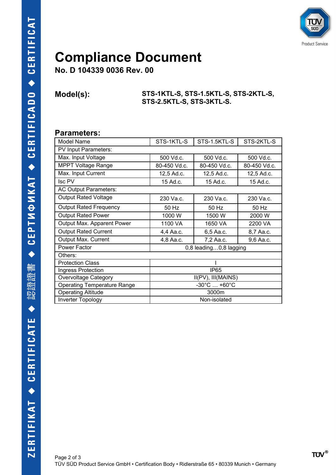

## **Compliance Document**

**No. D 104339 0036 Rev. 00**

**Model(s): STS-1KTL-S, STS-1.5KTL-S, STS-2KTL-S, STS-2.5KTL-S, STS-3KTL-S.**

#### **Parameters:**

| <b>Model Name</b>                  | STS-1KTL-S                      | STS-1.5KTL-S | STS-2KTL-S   |  |  |
|------------------------------------|---------------------------------|--------------|--------------|--|--|
| PV Input Parameters:               |                                 |              |              |  |  |
| Max. Input Voltage                 | 500 Vd.c.                       | 500 Vd.c.    | 500 Vd.c.    |  |  |
| <b>MPPT Voltage Range</b>          | 80-450 Vd.c.                    | 80-450 Vd.c. | 80-450 Vd.c. |  |  |
| Max. Input Current                 | 12,5 Ad.c.                      | 12,5 Ad.c.   | 12,5 Ad.c.   |  |  |
| Isc PV                             | 15 Ad.c.                        | 15 Ad.c.     | 15 Ad.c.     |  |  |
| AC Output Parameters:              |                                 |              |              |  |  |
| <b>Output Rated Voltage</b>        | 230 Va.c.                       | 230 Va.c.    | 230 Va.c.    |  |  |
| <b>Output Rated Frequency</b>      | 50 Hz                           | 50 Hz        | 50 Hz        |  |  |
| <b>Output Rated Power</b>          | 1000W                           | 1500 W       | 2000 W       |  |  |
| Output Max. Apparent Power         | 1100 VA                         | 1650 VA      | 2200 VA      |  |  |
| <b>Output Rated Current</b>        | 4,4 Aa.c.                       | 6,5 Aa.c.    | 8,7 Aa.c.    |  |  |
| Output Max. Current                | 4,8 Aa.c.                       | 7,2 Aa.c.    | 9,6 Aa.c.    |  |  |
| Power Factor                       | 0,8 leading0,8 lagging          |              |              |  |  |
| Others:                            |                                 |              |              |  |  |
| <b>Protection Class</b>            |                                 |              |              |  |  |
| Ingress Protection                 | <b>IP65</b>                     |              |              |  |  |
| Overvoltage Category               | II(PV), III(MAINS)              |              |              |  |  |
| <b>Operating Temperature Range</b> | $-30^{\circ}$ C $+60^{\circ}$ C |              |              |  |  |
| <b>Operating Altitude</b>          | 3000m                           |              |              |  |  |
| Inverter Topology                  | Non-isolated                    |              |              |  |  |